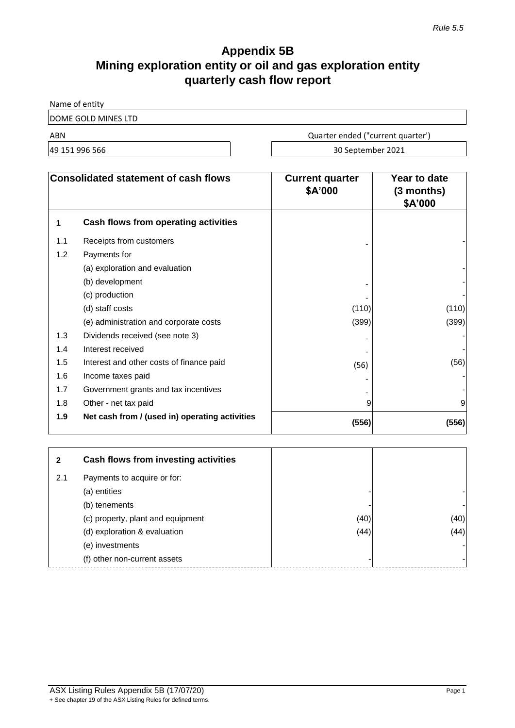# **Appendix 5B Mining exploration entity or oil and gas exploration entity quarterly cash flow report**

Name of entity

DOME GOLD MINES LTD

ABN Quarter ended ("current quarter')

49 151 996 566 30 September 2021

| <b>Consolidated statement of cash flows</b> |                                                | <b>Current quarter</b><br>\$A'000 | Year to date<br>$(3$ months)<br>\$A'000 |
|---------------------------------------------|------------------------------------------------|-----------------------------------|-----------------------------------------|
| 1                                           | Cash flows from operating activities           |                                   |                                         |
| 1.1                                         | Receipts from customers                        |                                   |                                         |
| 1.2                                         | Payments for                                   |                                   |                                         |
|                                             | (a) exploration and evaluation                 |                                   |                                         |
|                                             | (b) development                                |                                   |                                         |
|                                             | (c) production                                 |                                   |                                         |
|                                             | (d) staff costs                                | (110)                             | (110)                                   |
|                                             | (e) administration and corporate costs         | (399)                             | (399)                                   |
| 1.3                                         | Dividends received (see note 3)                |                                   |                                         |
| 1.4                                         | Interest received                              |                                   |                                         |
| 1.5                                         | Interest and other costs of finance paid       | (56)                              | (56)                                    |
| 1.6                                         | Income taxes paid                              |                                   |                                         |
| 1.7                                         | Government grants and tax incentives           |                                   |                                         |
| 1.8                                         | Other - net tax paid                           | 9                                 | 9                                       |
| 1.9                                         | Net cash from / (used in) operating activities | (556)                             | (556)                                   |

| 2   | Cash flows from investing activities |      |      |
|-----|--------------------------------------|------|------|
| 2.1 | Payments to acquire or for:          |      |      |
|     | (a) entities                         |      |      |
|     | (b) tenements                        |      |      |
|     | (c) property, plant and equipment    | (40) | (40) |
|     | (d) exploration & evaluation         | (44) | (44) |
|     | (e) investments                      |      |      |
|     | (f) other non-current assets         |      |      |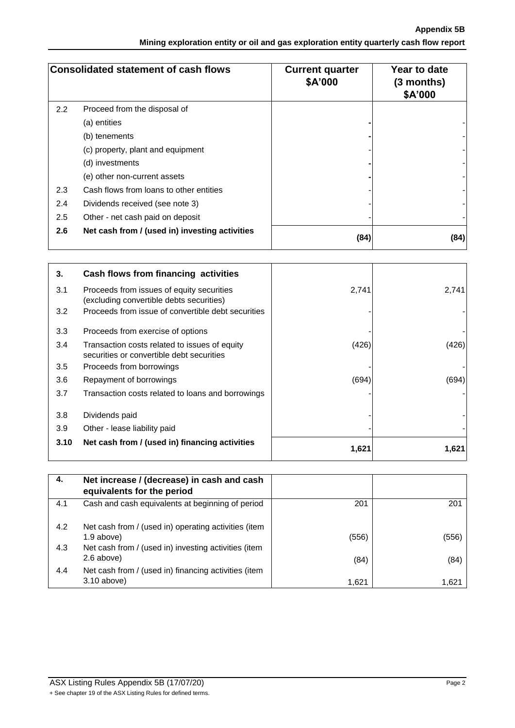**Appendix 5B Mining exploration entity or oil and gas exploration entity quarterly cash flow report**

| <b>Consolidated statement of cash flows</b> |                                                | <b>Current quarter</b><br>\$A'000 | Year to date<br>$(3$ months)<br>\$A'000 |
|---------------------------------------------|------------------------------------------------|-----------------------------------|-----------------------------------------|
| 2.2                                         | Proceed from the disposal of                   |                                   |                                         |
|                                             | (a) entities                                   |                                   |                                         |
|                                             | (b) tenements                                  |                                   |                                         |
|                                             | (c) property, plant and equipment              |                                   |                                         |
|                                             | (d) investments                                |                                   |                                         |
|                                             | (e) other non-current assets                   |                                   |                                         |
| 2.3                                         | Cash flows from loans to other entities        |                                   |                                         |
| 2.4                                         | Dividends received (see note 3)                |                                   |                                         |
| 2.5                                         | Other - net cash paid on deposit               |                                   |                                         |
| 2.6                                         | Net cash from / (used in) investing activities | (84)                              | (84)                                    |

| 3.   | Cash flows from financing activities                                                       |       |       |
|------|--------------------------------------------------------------------------------------------|-------|-------|
| 3.1  | Proceeds from issues of equity securities<br>(excluding convertible debts securities)      | 2,741 | 2,741 |
| 3.2  | Proceeds from issue of convertible debt securities                                         |       |       |
| 3.3  | Proceeds from exercise of options                                                          |       |       |
| 3.4  | Transaction costs related to issues of equity<br>securities or convertible debt securities | (426) | (426) |
| 3.5  | Proceeds from borrowings                                                                   |       |       |
| 3.6  | Repayment of borrowings                                                                    | (694) | (694) |
| 3.7  | Transaction costs related to loans and borrowings                                          |       |       |
| 3.8  | Dividends paid                                                                             |       |       |
| 3.9  | Other - lease liability paid                                                               |       |       |
| 3.10 | Net cash from / (used in) financing activities                                             | 1,621 | 1,621 |

| 4.  | Net increase / (decrease) in cash and cash<br>equivalents for the period |       |       |
|-----|--------------------------------------------------------------------------|-------|-------|
| 4.1 | Cash and cash equivalents at beginning of period                         | 201   | 201   |
| 4.2 | Net cash from / (used in) operating activities (item<br>$1.9$ above)     | (556) | (556) |
| 4.3 | Net cash from / (used in) investing activities (item<br>2.6 above)       | (84)  | (84)  |
| 4.4 | Net cash from / (used in) financing activities (item<br>$3.10$ above)    | 1,621 | 1,621 |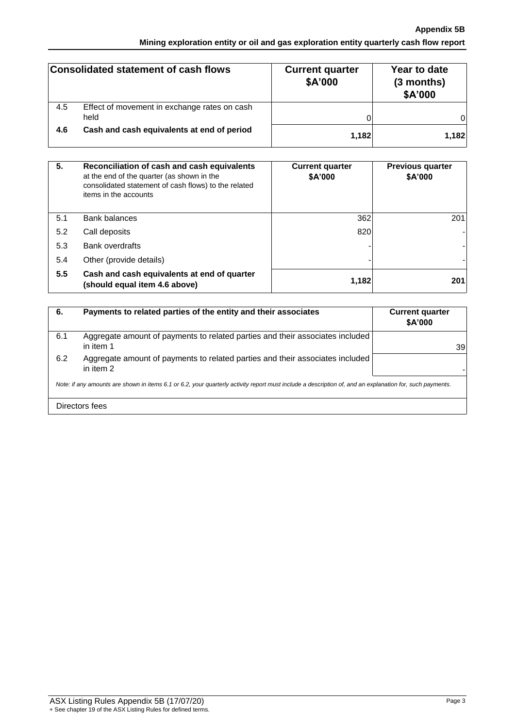## **Appendix 5B Mining exploration entity or oil and gas exploration entity quarterly cash flow report**

|     | Consolidated statement of cash flows                 | <b>Current quarter</b><br>\$A'000 | Year to date<br>(3 months)<br>\$A'000 |
|-----|------------------------------------------------------|-----------------------------------|---------------------------------------|
| 4.5 | Effect of movement in exchange rates on cash<br>held |                                   | 01                                    |
| 4.6 | Cash and cash equivalents at end of period           | 1,182                             | 1,182                                 |

| 5.  | Reconciliation of cash and cash equivalents<br>at the end of the quarter (as shown in the<br>consolidated statement of cash flows) to the related<br>items in the accounts | <b>Current quarter</b><br>\$A'000 | <b>Previous quarter</b><br>\$A'000 |
|-----|----------------------------------------------------------------------------------------------------------------------------------------------------------------------------|-----------------------------------|------------------------------------|
| 5.1 | Bank balances                                                                                                                                                              | 362                               | 201                                |
| 5.2 | Call deposits                                                                                                                                                              | 820                               |                                    |
| 5.3 | <b>Bank overdrafts</b>                                                                                                                                                     |                                   |                                    |
| 5.4 | Other (provide details)                                                                                                                                                    |                                   |                                    |
| 5.5 | Cash and cash equivalents at end of quarter<br>(should equal item 4.6 above)                                                                                               | 1,182                             | 201                                |

| 6.                                                                                                                                                       | Payments to related parties of the entity and their associates                             | <b>Current quarter</b><br>\$A'000 |  |
|----------------------------------------------------------------------------------------------------------------------------------------------------------|--------------------------------------------------------------------------------------------|-----------------------------------|--|
| 6.1                                                                                                                                                      | Aggregate amount of payments to related parties and their associates included<br>in item 1 | 39                                |  |
| 6.2                                                                                                                                                      | Aggregate amount of payments to related parties and their associates included<br>in item 2 |                                   |  |
| Note: if any amounts are shown in items 6.1 or 6.2, your quarterly activity report must include a description of, and an explanation for, such payments. |                                                                                            |                                   |  |
|                                                                                                                                                          | Directors fees                                                                             |                                   |  |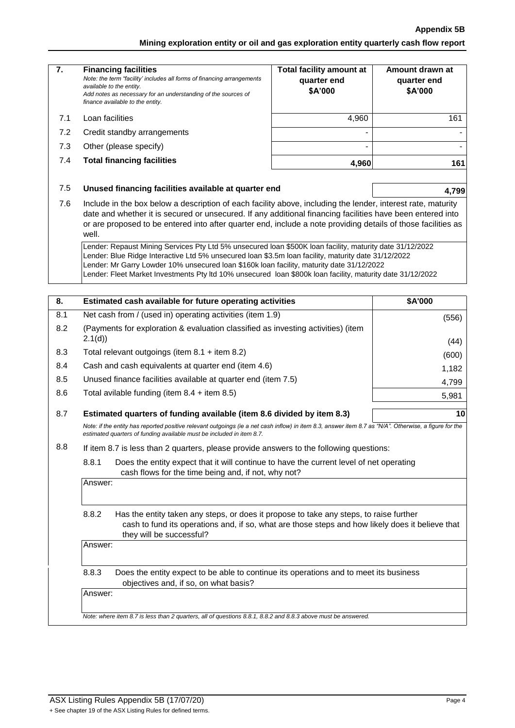### **Appendix 5B**

**Mining exploration entity or oil and gas exploration entity quarterly cash flow report**

| 7.  | <b>Financing facilities</b><br>Note: the term "facility' includes all forms of financing arrangements<br>available to the entity.<br>Add notes as necessary for an understanding of the sources of<br>finance available to the entity.                                                                                                                                                                                                                                                                                                                                                                                                                                                                                                                                             | <b>Total facility amount at</b><br>quarter end<br>\$A'000 | Amount drawn at<br>quarter end<br>\$A'000 |  |
|-----|------------------------------------------------------------------------------------------------------------------------------------------------------------------------------------------------------------------------------------------------------------------------------------------------------------------------------------------------------------------------------------------------------------------------------------------------------------------------------------------------------------------------------------------------------------------------------------------------------------------------------------------------------------------------------------------------------------------------------------------------------------------------------------|-----------------------------------------------------------|-------------------------------------------|--|
| 7.1 | Loan facilities                                                                                                                                                                                                                                                                                                                                                                                                                                                                                                                                                                                                                                                                                                                                                                    | 4,960                                                     | 161                                       |  |
| 7.2 | Credit standby arrangements                                                                                                                                                                                                                                                                                                                                                                                                                                                                                                                                                                                                                                                                                                                                                        |                                                           |                                           |  |
| 7.3 | Other (please specify)                                                                                                                                                                                                                                                                                                                                                                                                                                                                                                                                                                                                                                                                                                                                                             |                                                           |                                           |  |
| 7.4 | <b>Total financing facilities</b>                                                                                                                                                                                                                                                                                                                                                                                                                                                                                                                                                                                                                                                                                                                                                  | 4,960                                                     | 161                                       |  |
| 7.5 | Unused financing facilities available at quarter end                                                                                                                                                                                                                                                                                                                                                                                                                                                                                                                                                                                                                                                                                                                               |                                                           | 4,799                                     |  |
| 7.6 | Include in the box below a description of each facility above, including the lender, interest rate, maturity<br>date and whether it is secured or unsecured. If any additional financing facilities have been entered into<br>or are proposed to be entered into after quarter end, include a note providing details of those facilities as<br>well.<br>Lender: Repaust Mining Services Pty Ltd 5% unsecured loan \$500K loan facility, maturity date 31/12/2022<br>Lender: Blue Ridge Interactive Ltd 5% unsecured loan \$3.5m loan facility, maturity date 31/12/2022<br>Lender: Mr Garry Lowder 10% unsecured loan \$160k loan facility, maturity date 31/12/2022<br>Lender: Fleet Market Investments Pty Itd 10% unsecured loan \$800k loan facility, maturity date 31/12/2022 |                                                           |                                           |  |
|     |                                                                                                                                                                                                                                                                                                                                                                                                                                                                                                                                                                                                                                                                                                                                                                                    |                                                           |                                           |  |
| 8.  | Estimated cash available for future operating activities<br>\$A'000                                                                                                                                                                                                                                                                                                                                                                                                                                                                                                                                                                                                                                                                                                                |                                                           |                                           |  |
| 8.1 | Net cash from / (used in) operating activities (item 1.9)                                                                                                                                                                                                                                                                                                                                                                                                                                                                                                                                                                                                                                                                                                                          |                                                           | (556)                                     |  |
| 8.2 | (Payments for exploration & evaluation classified as investing activities) (item                                                                                                                                                                                                                                                                                                                                                                                                                                                                                                                                                                                                                                                                                                   |                                                           |                                           |  |
|     | 2.1(d)                                                                                                                                                                                                                                                                                                                                                                                                                                                                                                                                                                                                                                                                                                                                                                             |                                                           | (44)                                      |  |
| 8.3 | Total relevant outgoings (item $8.1 +$ item $8.2$ )                                                                                                                                                                                                                                                                                                                                                                                                                                                                                                                                                                                                                                                                                                                                |                                                           | (600)                                     |  |
| 8.4 | Cash and cash equivalents at quarter end (item 4.6)                                                                                                                                                                                                                                                                                                                                                                                                                                                                                                                                                                                                                                                                                                                                |                                                           | 1,182                                     |  |
| 8.5 | Unused finance facilities available at quarter end (item 7.5)<br>4,799<br>Total avilable funding (item $8.4 +$ item $8.5$ )                                                                                                                                                                                                                                                                                                                                                                                                                                                                                                                                                                                                                                                        |                                                           |                                           |  |
| 8.6 |                                                                                                                                                                                                                                                                                                                                                                                                                                                                                                                                                                                                                                                                                                                                                                                    |                                                           | 5,981                                     |  |
| 8.7 | Estimated quarters of funding available (item 8.6 divided by item 8.3)                                                                                                                                                                                                                                                                                                                                                                                                                                                                                                                                                                                                                                                                                                             |                                                           | 10                                        |  |
|     | Note: if the entity has reported positive relevant outgoings (ie a net cash inflow) in item 8.3, answer item 8.7 as "N/A". Otherwise, a figure for the<br>estimated quarters of funding available must be included in item 8.7.                                                                                                                                                                                                                                                                                                                                                                                                                                                                                                                                                    |                                                           |                                           |  |
| 8.8 | If item 8.7 is less than 2 quarters, please provide answers to the following questions:                                                                                                                                                                                                                                                                                                                                                                                                                                                                                                                                                                                                                                                                                            |                                                           |                                           |  |
|     | 8.8.1<br>Does the entity expect that it will continue to have the current level of net operating<br>cash flows for the time being and, if not, why not?                                                                                                                                                                                                                                                                                                                                                                                                                                                                                                                                                                                                                            |                                                           |                                           |  |
|     | Answer:                                                                                                                                                                                                                                                                                                                                                                                                                                                                                                                                                                                                                                                                                                                                                                            |                                                           |                                           |  |
|     | 8.8.2<br>Has the entity taken any steps, or does it propose to take any steps, to raise further<br>cash to fund its operations and, if so, what are those steps and how likely does it believe that<br>they will be successful?                                                                                                                                                                                                                                                                                                                                                                                                                                                                                                                                                    |                                                           |                                           |  |
|     | Answer:                                                                                                                                                                                                                                                                                                                                                                                                                                                                                                                                                                                                                                                                                                                                                                            |                                                           |                                           |  |
|     | 8.8.3<br>Does the entity expect to be able to continue its operations and to meet its business<br>objectives and, if so, on what basis?                                                                                                                                                                                                                                                                                                                                                                                                                                                                                                                                                                                                                                            |                                                           |                                           |  |
|     | Answer:                                                                                                                                                                                                                                                                                                                                                                                                                                                                                                                                                                                                                                                                                                                                                                            |                                                           |                                           |  |
|     | Note: where item 8.7 is less than 2 quarters, all of questions 8.8.1, 8.8.2 and 8.8.3 above must be answered.                                                                                                                                                                                                                                                                                                                                                                                                                                                                                                                                                                                                                                                                      |                                                           |                                           |  |